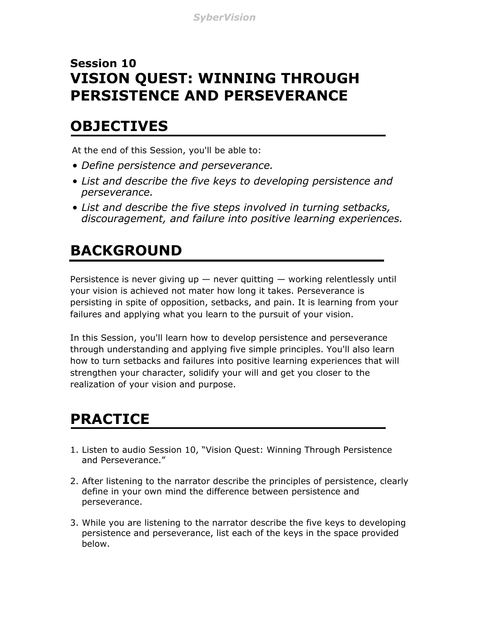#### **Session 10 VISION QUEST: WINNING THROUGH PERSISTENCE AND PERSEVERANCE**

#### **OBJECTIVES**

At the end of this Session, you'll be able to:

- *Define persistence and perseverance.*
- *List and describe the five keys to developing persistence and perseverance.*
- *List and describe the five steps involved in turning setbacks, discouragement, and failure into positive learning experiences.*

## **BACKGROUND**

Persistence is never giving up  $-$  never quitting  $-$  working relentlessly until your vision is achieved not mater how long it takes. Perseverance is persisting in spite of opposition, setbacks, and pain. It is learning from your failures and applying what you learn to the pursuit of your vision.

In this Session, you'll learn how to develop persistence and perseverance through understanding and applying five simple principles. You'll also learn how to turn setbacks and failures into positive learning experiences that will strengthen your character, solidify your will and get you closer to the realization of your vision and purpose.

## **PRACTICE**

- 1. Listen to audio Session 10, "Vision Quest: Winning Through Persistence and Perseverance."
- 2. After listening to the narrator describe the principles of persistence, clearly define in your own mind the difference between persistence and perseverance.
- 3. While you are listening to the narrator describe the five keys to developing persistence and perseverance, list each of the keys in the space provided below.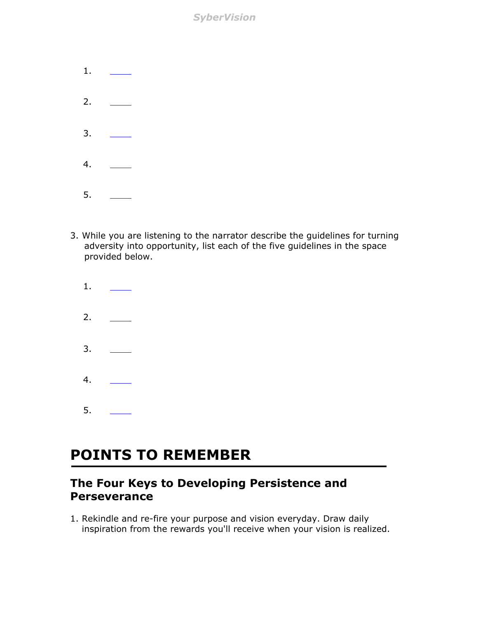*SyberVision*

| $1$ . |  |
|-------|--|
| 2.    |  |
| 3.    |  |
| 4.    |  |
| 5.    |  |

- 3. While you are listening to the narrator describe the guidelines for turning adversity into opportunity, list each of the five guidelines in the space provided below.
	- 1. 2. 3. 4. 5.

#### **POINTS TO REMEMBER**

#### **The Four Keys to Developing Persistence and Perseverance**

1. Rekindle and re-fire your purpose and vision everyday. Draw daily inspiration from the rewards you'll receive when your vision is realized.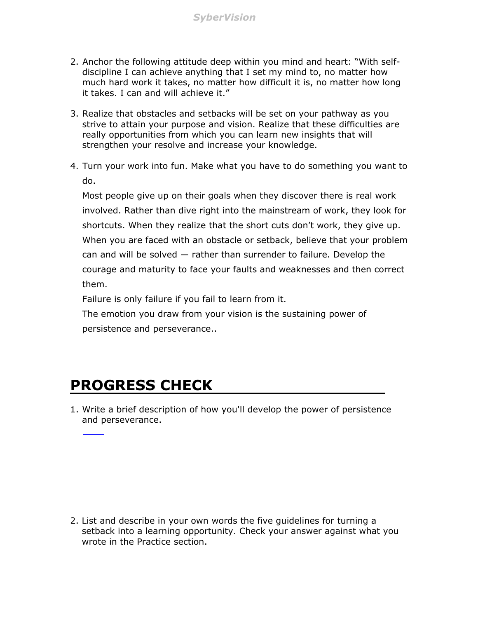- 2. Anchor the following attitude deep within you mind and heart: "With selfdiscipline I can achieve anything that I set my mind to, no matter how much hard work it takes, no matter how difficult it is, no matter how long it takes. I can and will achieve it."
- 3. Realize that obstacles and setbacks will be set on your pathway as you strive to attain your purpose and vision. Realize that these difficulties are really opportunities from which you can learn new insights that will strengthen your resolve and increase your knowledge.
- 4. Turn your work into fun. Make what you have to do something you want to do.

Most people give up on their goals when they discover there is real work involved. Rather than dive right into the mainstream of work, they look for shortcuts. When they realize that the short cuts don't work, they give up. When you are faced with an obstacle or setback, believe that your problem can and will be solved — rather than surrender to failure. Develop the courage and maturity to face your faults and weaknesses and then correct them.

Failure is only failure if you fail to learn from it.

The emotion you draw from your vision is the sustaining power of persistence and perseverance..

#### **PROGRESS CHECK**

1. Write a brief description of how you'll develop the power of persistence and perseverance.

2. List and describe in your own words the five guidelines for turning a setback into a learning opportunity. Check your answer against what you wrote in the Practice section.